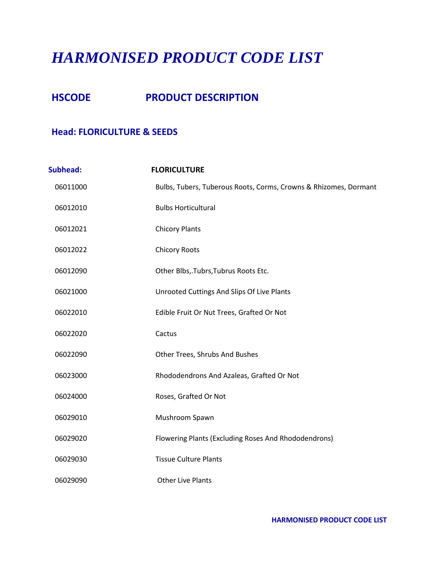# *HARMONISED PRODUCT CODE LIST*

# **HSCODE PRODUCT DESCRIPTION**

#### **Head: FLORICULTURE & SEEDS**

| <b>Subhead:</b> | <b>FLORICULTURE</b>                                              |
|-----------------|------------------------------------------------------------------|
| 06011000        | Bulbs, Tubers, Tuberous Roots, Corms, Crowns & Rhizomes, Dormant |
| 06012010        | <b>Bulbs Horticultural</b>                                       |
| 06012021        | <b>Chicory Plants</b>                                            |
| 06012022        | <b>Chicory Roots</b>                                             |
| 06012090        | Other Blbs,.Tubrs,Tubrus Roots Etc.                              |
| 06021000        | Unrooted Cuttings And Slips Of Live Plants                       |
| 06022010        | Edible Fruit Or Nut Trees, Grafted Or Not                        |
| 06022020        | Cactus                                                           |
| 06022090        | Other Trees, Shrubs And Bushes                                   |
| 06023000        | Rhododendrons And Azaleas, Grafted Or Not                        |
| 06024000        | Roses, Grafted Or Not                                            |
| 06029010        | Mushroom Spawn                                                   |
| 06029020        | Flowering Plants (Excluding Roses And Rhododendrons)             |
| 06029030        | <b>Tissue Culture Plants</b>                                     |
| 06029090        | <b>Other Live Plants</b>                                         |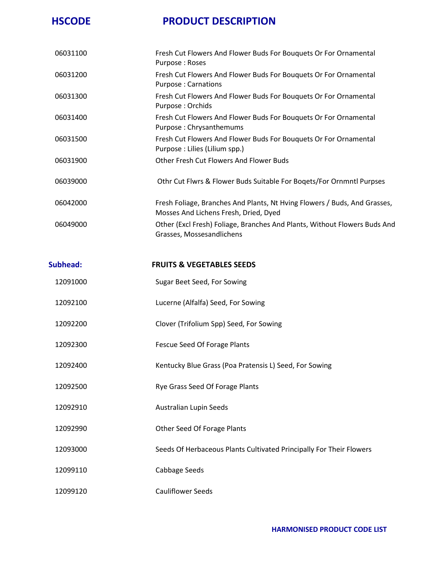| 06031100 | Fresh Cut Flowers And Flower Buds For Bouquets Or For Ornamental<br>Purpose: Roses                                 |
|----------|--------------------------------------------------------------------------------------------------------------------|
| 06031200 | Fresh Cut Flowers And Flower Buds For Bouquets Or For Ornamental<br>Purpose: Carnations                            |
| 06031300 | Fresh Cut Flowers And Flower Buds For Bouquets Or For Ornamental<br>Purpose: Orchids                               |
| 06031400 | Fresh Cut Flowers And Flower Buds For Bouquets Or For Ornamental<br>Purpose: Chrysanthemums                        |
| 06031500 | Fresh Cut Flowers And Flower Buds For Bouquets Or For Ornamental<br>Purpose : Lilies (Lilium spp.)                 |
| 06031900 | Other Fresh Cut Flowers And Flower Buds                                                                            |
| 06039000 | Othr Cut Flwrs & Flower Buds Suitable For Bogets/For Ornmntl Purpses                                               |
| 06042000 | Fresh Foliage, Branches And Plants, Nt Hving Flowers / Buds, And Grasses,<br>Mosses And Lichens Fresh, Dried, Dyed |
| 06049000 | Other (Excl Fresh) Foliage, Branches And Plants, Without Flowers Buds And<br>Grasses, Mossesandlichens             |

#### **Subhead: FRUITS & VEGETABLES SEEDS**

| 12091000 | Sugar Beet Seed, For Sowing                                         |
|----------|---------------------------------------------------------------------|
| 12092100 | Lucerne (Alfalfa) Seed, For Sowing                                  |
| 12092200 | Clover (Trifolium Spp) Seed, For Sowing                             |
| 12092300 | Fescue Seed Of Forage Plants                                        |
| 12092400 | Kentucky Blue Grass (Poa Pratensis L) Seed, For Sowing              |
| 12092500 | Rye Grass Seed Of Forage Plants                                     |
| 12092910 | Australian Lupin Seeds                                              |
| 12092990 | Other Seed Of Forage Plants                                         |
| 12093000 | Seeds Of Herbaceous Plants Cultivated Principally For Their Flowers |
| 12099110 | Cabbage Seeds                                                       |
| 12099120 | <b>Cauliflower Seeds</b>                                            |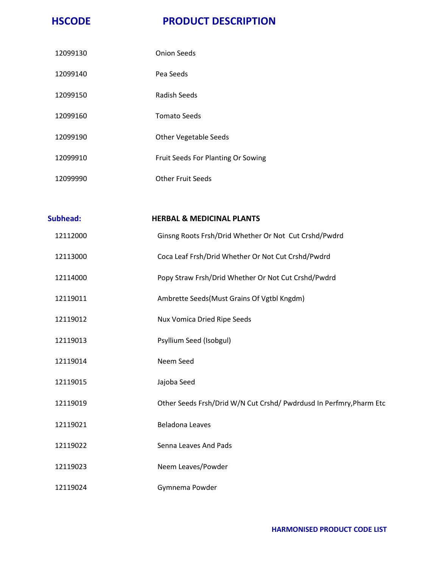| 12099130 | <b>Onion Seeds</b>                 |
|----------|------------------------------------|
| 12099140 | Pea Seeds                          |
| 12099150 | Radish Seeds                       |
| 12099160 | <b>Tomato Seeds</b>                |
| 12099190 | <b>Other Vegetable Seeds</b>       |
| 12099910 | Fruit Seeds For Planting Or Sowing |
| 12099990 | Other Fruit Seeds                  |

| <b>Subhead:</b> | <b>HERBAL &amp; MEDICINAL PLANTS</b>                                |
|-----------------|---------------------------------------------------------------------|
| 12112000        | Ginsng Roots Frsh/Drid Whether Or Not Cut Crshd/Pwdrd               |
| 12113000        | Coca Leaf Frsh/Drid Whether Or Not Cut Crshd/Pwdrd                  |
| 12114000        | Popy Straw Frsh/Drid Whether Or Not Cut Crshd/Pwdrd                 |
| 12119011        | Ambrette Seeds(Must Grains Of Vgtbl Kngdm)                          |
| 12119012        | Nux Vomica Dried Ripe Seeds                                         |
| 12119013        | Psyllium Seed (Isobgul)                                             |
| 12119014        | Neem Seed                                                           |
| 12119015        | Jajoba Seed                                                         |
| 12119019        | Other Seeds Frsh/Drid W/N Cut Crshd/ Pwdrdusd In Perfmry, Pharm Etc |
| 12119021        | <b>Beladona Leaves</b>                                              |
| 12119022        | Senna Leaves And Pads                                               |
| 12119023        | Neem Leaves/Powder                                                  |
| 12119024        | Gymnema Powder                                                      |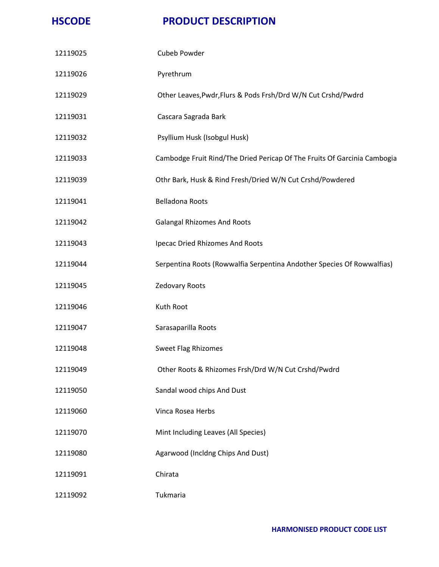| 12119025 | Cubeb Powder                                                             |
|----------|--------------------------------------------------------------------------|
| 12119026 | Pyrethrum                                                                |
| 12119029 | Other Leaves, Pwdr, Flurs & Pods Frsh/Drd W/N Cut Crshd/Pwdrd            |
| 12119031 | Cascara Sagrada Bark                                                     |
| 12119032 | Psyllium Husk (Isobgul Husk)                                             |
| 12119033 | Cambodge Fruit Rind/The Dried Pericap Of The Fruits Of Garcinia Cambogia |
| 12119039 | Othr Bark, Husk & Rind Fresh/Dried W/N Cut Crshd/Powdered                |
| 12119041 | Belladona Roots                                                          |
| 12119042 | <b>Galangal Rhizomes And Roots</b>                                       |
| 12119043 | Ipecac Dried Rhizomes And Roots                                          |
| 12119044 | Serpentina Roots (Rowwalfia Serpentina Andother Species Of Rowwalfias)   |
| 12119045 | Zedovary Roots                                                           |
| 12119046 | Kuth Root                                                                |
| 12119047 | Sarasaparilla Roots                                                      |
| 12119048 | <b>Sweet Flag Rhizomes</b>                                               |
| 12119049 | Other Roots & Rhizomes Frsh/Drd W/N Cut Crshd/Pwdrd                      |
| 12119050 | Sandal wood chips And Dust                                               |
| 12119060 | Vinca Rosea Herbs                                                        |
| 12119070 | Mint Including Leaves (All Species)                                      |
| 12119080 | Agarwood (Incldng Chips And Dust)                                        |
| 12119091 | Chirata                                                                  |
| 12119092 | Tukmaria                                                                 |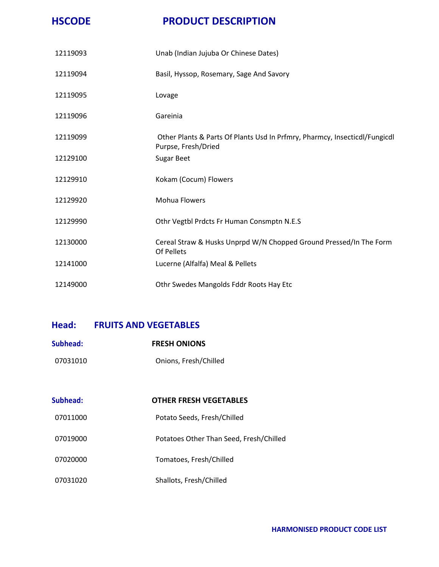| 12119093 | Unab (Indian Jujuba Or Chinese Dates)                                                             |
|----------|---------------------------------------------------------------------------------------------------|
| 12119094 | Basil, Hyssop, Rosemary, Sage And Savory                                                          |
| 12119095 | Lovage                                                                                            |
| 12119096 | Gareinia                                                                                          |
| 12119099 | Other Plants & Parts Of Plants Usd In Prfmry, Pharmcy, Insecticdl/Fungicdl<br>Purpse, Fresh/Dried |
| 12129100 | <b>Sugar Beet</b>                                                                                 |
| 12129910 | Kokam (Cocum) Flowers                                                                             |
| 12129920 | Mohua Flowers                                                                                     |
| 12129990 | Othr Vegtbl Prdcts Fr Human Consmptn N.E.S                                                        |
| 12130000 | Cereal Straw & Husks Unprpd W/N Chopped Ground Pressed/In The Form<br>Of Pellets                  |
| 12141000 | Lucerne (Alfalfa) Meal & Pellets                                                                  |
| 12149000 | Othr Swedes Mangolds Fddr Roots Hay Etc                                                           |

#### **Head: FRUITS AND VEGETABLES**

| Subhead: | <b>FRESH ONIONS</b>   |
|----------|-----------------------|
| 07031010 | Onions, Fresh/Chilled |

| Subhead: | <b>OTHER FRESH VEGETABLES</b>           |
|----------|-----------------------------------------|
| 07011000 | Potato Seeds, Fresh/Chilled             |
| 07019000 | Potatoes Other Than Seed, Fresh/Chilled |
| 07020000 | Tomatoes, Fresh/Chilled                 |
| 07031020 | Shallots, Fresh/Chilled                 |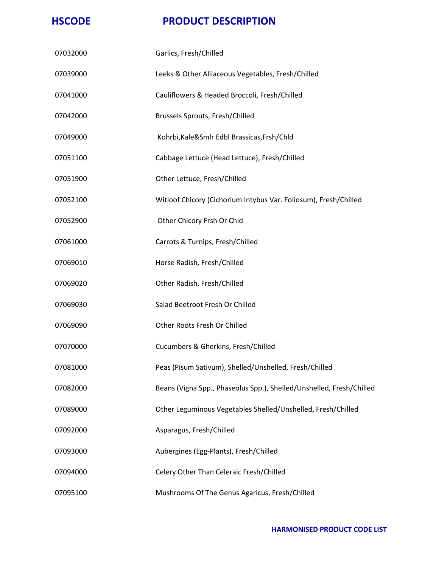| 07032000 | Garlics, Fresh/Chilled                                               |
|----------|----------------------------------------------------------------------|
| 07039000 | Leeks & Other Alliaceous Vegetables, Fresh/Chilled                   |
| 07041000 | Cauliflowers & Headed Broccoli, Fresh/Chilled                        |
| 07042000 | <b>Brussels Sprouts, Fresh/Chilled</b>                               |
| 07049000 | Kohrbi, Kale&Smlr Edbl Brassicas, Frsh/Chld                          |
| 07051100 | Cabbage Lettuce (Head Lettuce), Fresh/Chilled                        |
| 07051900 | Other Lettuce, Fresh/Chilled                                         |
| 07052100 | Witloof Chicory (Cichorium Intybus Var. Foliosum), Fresh/Chilled     |
| 07052900 | Other Chicory Frsh Or Chld                                           |
| 07061000 | Carrots & Turnips, Fresh/Chilled                                     |
| 07069010 | Horse Radish, Fresh/Chilled                                          |
| 07069020 | Other Radish, Fresh/Chilled                                          |
| 07069030 | Salad Beetroot Fresh Or Chilled                                      |
| 07069090 | Other Roots Fresh Or Chilled                                         |
| 07070000 | Cucumbers & Gherkins, Fresh/Chilled                                  |
| 07081000 | Peas (Pisum Sativum), Shelled/Unshelled, Fresh/Chilled               |
| 07082000 | Beans (Vigna Spp., Phaseolus Spp.), Shelled/Unshelled, Fresh/Chilled |
| 07089000 | Other Leguminous Vegetables Shelled/Unshelled, Fresh/Chilled         |
| 07092000 | Asparagus, Fresh/Chilled                                             |
| 07093000 | Aubergines (Egg-Plants), Fresh/Chilled                               |
| 07094000 | Celery Other Than Celeraic Fresh/Chilled                             |
| 07095100 | Mushrooms Of The Genus Agaricus, Fresh/Chilled                       |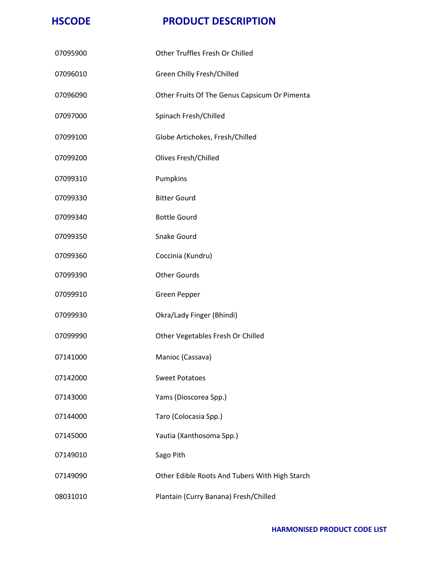| 07095900 | Other Truffles Fresh Or Chilled                |
|----------|------------------------------------------------|
| 07096010 | Green Chilly Fresh/Chilled                     |
| 07096090 | Other Fruits Of The Genus Capsicum Or Pimenta  |
| 07097000 | Spinach Fresh/Chilled                          |
| 07099100 | Globe Artichokes, Fresh/Chilled                |
| 07099200 | <b>Olives Fresh/Chilled</b>                    |
| 07099310 | Pumpkins                                       |
| 07099330 | <b>Bitter Gourd</b>                            |
| 07099340 | <b>Bottle Gourd</b>                            |
| 07099350 | <b>Snake Gourd</b>                             |
| 07099360 | Coccinia (Kundru)                              |
| 07099390 | <b>Other Gourds</b>                            |
| 07099910 | Green Pepper                                   |
| 07099930 | Okra/Lady Finger (Bhindi)                      |
| 07099990 | Other Vegetables Fresh Or Chilled              |
| 07141000 | Manioc (Cassava)                               |
| 07142000 | <b>Sweet Potatoes</b>                          |
| 07143000 | Yams (Dioscorea Spp.)                          |
| 07144000 | Taro (Colocasia Spp.)                          |
| 07145000 | Yautia (Xanthosoma Spp.)                       |
| 07149010 | Sago Pith                                      |
| 07149090 | Other Edible Roots And Tubers With High Starch |
| 08031010 | Plantain (Curry Banana) Fresh/Chilled          |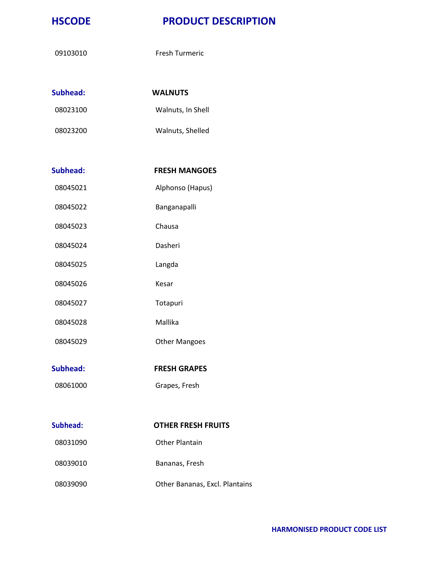09103010 Fresh Turmeric

| Subhead: | <b>WALNUTS</b>    |
|----------|-------------------|
| 08023100 | Walnuts, In Shell |
| 08023200 | Walnuts, Shelled  |

| Subhead: | <b>FRESH MANGOES</b> |
|----------|----------------------|

08045021 Alphonso (Hapus)

- 08045022 Banganapalli
- 08045023 Chausa
- 08045024 Dasheri
- 08045025 Langda
- 08045026 Kesar
- 08045027 Totapuri
- 08045028 Mallika
- 08045029 Other Mangoes
- **Subhead: FRESH GRAPES**
- 08061000 Grapes, Fresh

# **Subhead: OTHER FRESH FRUITS** 08031090 Other Plantain 08039010 Bananas, Fresh 08039090 Other Bananas, Excl. Plantains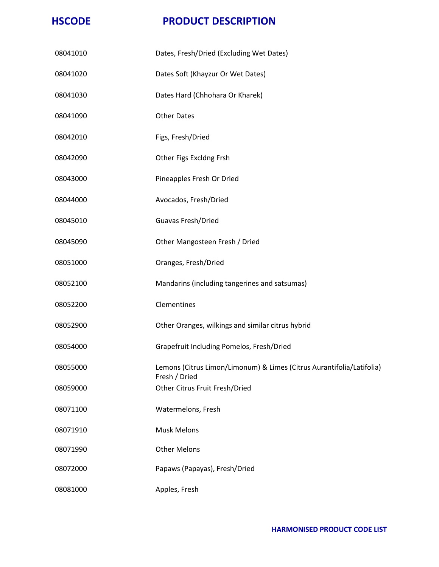| 08041010 | Dates, Fresh/Dried (Excluding Wet Dates)                                               |
|----------|----------------------------------------------------------------------------------------|
| 08041020 | Dates Soft (Khayzur Or Wet Dates)                                                      |
| 08041030 | Dates Hard (Chhohara Or Kharek)                                                        |
| 08041090 | <b>Other Dates</b>                                                                     |
| 08042010 | Figs, Fresh/Dried                                                                      |
| 08042090 | Other Figs Excldng Frsh                                                                |
| 08043000 | Pineapples Fresh Or Dried                                                              |
| 08044000 | Avocados, Fresh/Dried                                                                  |
| 08045010 | Guavas Fresh/Dried                                                                     |
| 08045090 | Other Mangosteen Fresh / Dried                                                         |
| 08051000 | Oranges, Fresh/Dried                                                                   |
| 08052100 | Mandarins (including tangerines and satsumas)                                          |
| 08052200 | Clementines                                                                            |
| 08052900 | Other Oranges, wilkings and similar citrus hybrid                                      |
| 08054000 | Grapefruit Including Pomelos, Fresh/Dried                                              |
| 08055000 | Lemons (Citrus Limon/Limonum) & Limes (Citrus Aurantifolia/Latifolia)<br>Fresh / Dried |
| 08059000 | Other Citrus Fruit Fresh/Dried                                                         |
| 08071100 | Watermelons, Fresh                                                                     |
| 08071910 | <b>Musk Melons</b>                                                                     |
| 08071990 | <b>Other Melons</b>                                                                    |
| 08072000 | Papaws (Papayas), Fresh/Dried                                                          |
| 08081000 | Apples, Fresh                                                                          |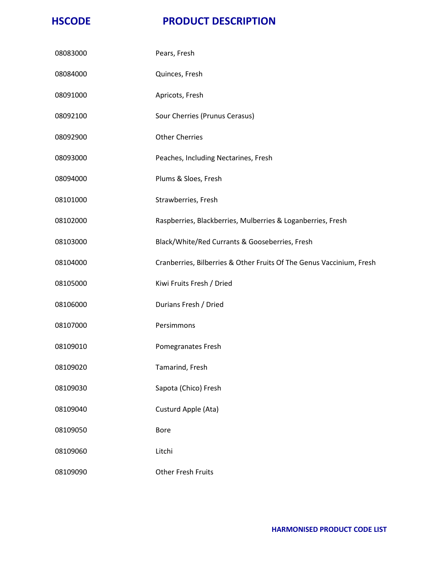| 08083000 | Pears, Fresh                                                         |
|----------|----------------------------------------------------------------------|
| 08084000 | Quinces, Fresh                                                       |
| 08091000 | Apricots, Fresh                                                      |
| 08092100 | Sour Cherries (Prunus Cerasus)                                       |
| 08092900 | <b>Other Cherries</b>                                                |
| 08093000 | Peaches, Including Nectarines, Fresh                                 |
| 08094000 | Plums & Sloes, Fresh                                                 |
| 08101000 | Strawberries, Fresh                                                  |
| 08102000 | Raspberries, Blackberries, Mulberries & Loganberries, Fresh          |
| 08103000 | Black/White/Red Currants & Gooseberries, Fresh                       |
| 08104000 | Cranberries, Bilberries & Other Fruits Of The Genus Vaccinium, Fresh |
| 08105000 | Kiwi Fruits Fresh / Dried                                            |
| 08106000 | Durians Fresh / Dried                                                |
| 08107000 | Persimmons                                                           |
| 08109010 | Pomegranates Fresh                                                   |
| 08109020 | Tamarind, Fresh                                                      |
| 08109030 | Sapota (Chico) Fresh                                                 |
| 08109040 | Custurd Apple (Ata)                                                  |
| 08109050 | <b>Bore</b>                                                          |
| 08109060 | Litchi                                                               |
| 08109090 | <b>Other Fresh Fruits</b>                                            |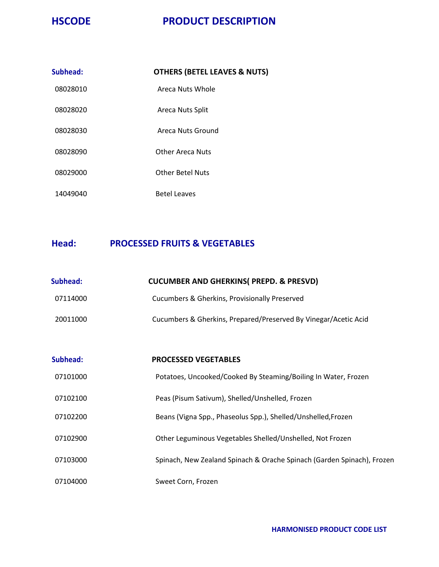| Subhead: | <b>OTHERS (BETEL LEAVES &amp; NUTS)</b> |
|----------|-----------------------------------------|
| 08028010 | Areca Nuts Whole                        |
| 08028020 | Areca Nuts Split                        |
| 08028030 | Areca Nuts Ground                       |
| 08028090 | <b>Other Areca Nuts</b>                 |
| 08029000 | <b>Other Betel Nuts</b>                 |
| 14049040 | <b>Betel Leaves</b>                     |

#### **Head: PROCESSED FRUITS & VEGETABLES**

| Subhead: | <b>CUCUMBER AND GHERKINS( PREPD. &amp; PRESVD)</b>              |
|----------|-----------------------------------------------------------------|
| 07114000 | Cucumbers & Gherkins, Provisionally Preserved                   |
| 20011000 | Cucumbers & Gherkins, Prepared/Preserved By Vinegar/Acetic Acid |

| Subhead: | <b>PROCESSED VEGETABLES</b>                                            |
|----------|------------------------------------------------------------------------|
| 07101000 | Potatoes, Uncooked/Cooked By Steaming/Boiling In Water, Frozen         |
| 07102100 | Peas (Pisum Sativum), Shelled/Unshelled, Frozen                        |
| 07102200 | Beans (Vigna Spp., Phaseolus Spp.), Shelled/Unshelled, Frozen          |
| 07102900 | Other Leguminous Vegetables Shelled/Unshelled, Not Frozen              |
| 07103000 | Spinach, New Zealand Spinach & Orache Spinach (Garden Spinach), Frozen |
| 07104000 | Sweet Corn, Frozen                                                     |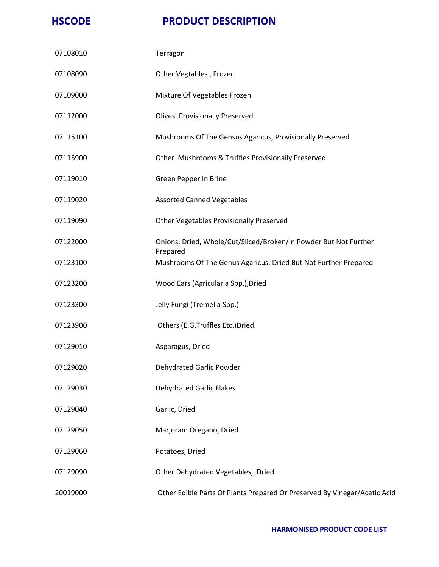| 07108010 | Terragon                                                                     |
|----------|------------------------------------------------------------------------------|
| 07108090 | Other Vegtables, Frozen                                                      |
| 07109000 | Mixture Of Vegetables Frozen                                                 |
| 07112000 | Olives, Provisionally Preserved                                              |
| 07115100 | Mushrooms Of The Gensus Agaricus, Provisionally Preserved                    |
| 07115900 | Other Mushrooms & Truffles Provisionally Preserved                           |
| 07119010 | Green Pepper In Brine                                                        |
| 07119020 | <b>Assorted Canned Vegetables</b>                                            |
| 07119090 | Other Vegetables Provisionally Preserved                                     |
| 07122000 | Onions, Dried, Whole/Cut/Sliced/Broken/In Powder But Not Further<br>Prepared |
| 07123100 | Mushrooms Of The Genus Agaricus, Dried But Not Further Prepared              |
| 07123200 | Wood Ears (Agricularia Spp.), Dried                                          |
| 07123300 | Jelly Fungi (Tremella Spp.)                                                  |
| 07123900 | Others (E.G.Truffles Etc.)Dried.                                             |
| 07129010 | Asparagus, Dried                                                             |
| 07129020 | Dehydrated Garlic Powder                                                     |
| 07129030 | <b>Dehydrated Garlic Flakes</b>                                              |
| 07129040 | Garlic, Dried                                                                |
| 07129050 | Marjoram Oregano, Dried                                                      |
| 07129060 | Potatoes, Dried                                                              |
| 07129090 | Other Dehydrated Vegetables, Dried                                           |
| 20019000 | Other Edible Parts Of Plants Prepared Or Preserved By Vinegar/Acetic Acid    |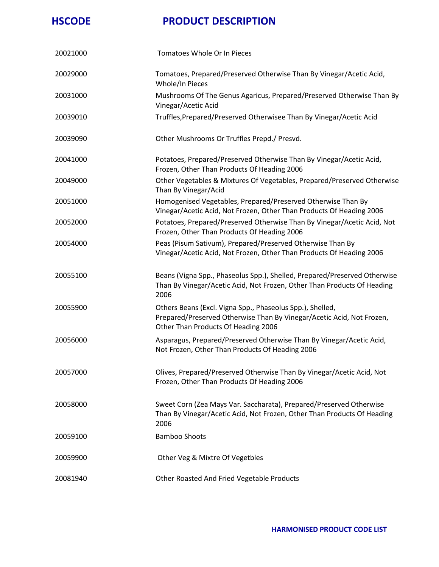| 20021000 | Tomatoes Whole Or In Pieces                                                                                                                                               |
|----------|---------------------------------------------------------------------------------------------------------------------------------------------------------------------------|
| 20029000 | Tomatoes, Prepared/Preserved Otherwise Than By Vinegar/Acetic Acid,<br>Whole/In Pieces                                                                                    |
| 20031000 | Mushrooms Of The Genus Agaricus, Prepared/Preserved Otherwise Than By<br>Vinegar/Acetic Acid                                                                              |
| 20039010 | Truffles, Prepared/Preserved Otherwisee Than By Vinegar/Acetic Acid                                                                                                       |
| 20039090 | Other Mushrooms Or Truffles Prepd./ Presvd.                                                                                                                               |
| 20041000 | Potatoes, Prepared/Preserved Otherwise Than By Vinegar/Acetic Acid,<br>Frozen, Other Than Products Of Heading 2006                                                        |
| 20049000 | Other Vegetables & Mixtures Of Vegetables, Prepared/Preserved Otherwise<br>Than By Vinegar/Acid                                                                           |
| 20051000 | Homogenised Vegetables, Prepared/Preserved Otherwise Than By<br>Vinegar/Acetic Acid, Not Frozen, Other Than Products Of Heading 2006                                      |
| 20052000 | Potatoes, Prepared/Preserved Otherwise Than By Vinegar/Acetic Acid, Not<br>Frozen, Other Than Products Of Heading 2006                                                    |
| 20054000 | Peas (Pisum Sativum), Prepared/Preserved Otherwise Than By<br>Vinegar/Acetic Acid, Not Frozen, Other Than Products Of Heading 2006                                        |
| 20055100 | Beans (Vigna Spp., Phaseolus Spp.), Shelled, Prepared/Preserved Otherwise<br>Than By Vinegar/Acetic Acid, Not Frozen, Other Than Products Of Heading<br>2006              |
| 20055900 | Others Beans (Excl. Vigna Spp., Phaseolus Spp.), Shelled,<br>Prepared/Preserved Otherwise Than By Vinegar/Acetic Acid, Not Frozen,<br>Other Than Products Of Heading 2006 |
| 20056000 | Asparagus, Prepared/Preserved Otherwise Than By Vinegar/Acetic Acid,<br>Not Frozen, Other Than Products Of Heading 2006                                                   |
| 20057000 | Olives, Prepared/Preserved Otherwise Than By Vinegar/Acetic Acid, Not<br>Frozen, Other Than Products Of Heading 2006                                                      |
| 20058000 | Sweet Corn (Zea Mays Var. Saccharata), Prepared/Preserved Otherwise<br>Than By Vinegar/Acetic Acid, Not Frozen, Other Than Products Of Heading<br>2006                    |
| 20059100 | <b>Bamboo Shoots</b>                                                                                                                                                      |
| 20059900 | Other Veg & Mixtre Of Vegetbles                                                                                                                                           |
| 20081940 | Other Roasted And Fried Vegetable Products                                                                                                                                |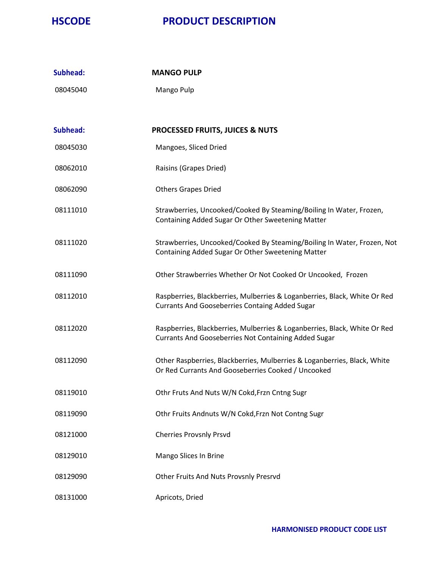| Subhead: | <b>MANGO PULP</b>                                                                                                                  |
|----------|------------------------------------------------------------------------------------------------------------------------------------|
| 08045040 | Mango Pulp                                                                                                                         |
|          |                                                                                                                                    |
| Subhead: | <b>PROCESSED FRUITS, JUICES &amp; NUTS</b>                                                                                         |
| 08045030 | Mangoes, Sliced Dried                                                                                                              |
| 08062010 | Raisins (Grapes Dried)                                                                                                             |
| 08062090 | <b>Others Grapes Dried</b>                                                                                                         |
| 08111010 | Strawberries, Uncooked/Cooked By Steaming/Boiling In Water, Frozen,<br>Containing Added Sugar Or Other Sweetening Matter           |
| 08111020 | Strawberries, Uncooked/Cooked By Steaming/Boiling In Water, Frozen, Not<br>Containing Added Sugar Or Other Sweetening Matter       |
| 08111090 | Other Strawberries Whether Or Not Cooked Or Uncooked, Frozen                                                                       |
| 08112010 | Raspberries, Blackberries, Mulberries & Loganberries, Black, White Or Red<br><b>Currants And Gooseberries Containg Added Sugar</b> |
| 08112020 | Raspberries, Blackberries, Mulberries & Loganberries, Black, White Or Red<br>Currants And Gooseberries Not Containing Added Sugar  |
| 08112090 | Other Raspberries, Blackberries, Mulberries & Loganberries, Black, White<br>Or Red Currants And Gooseberries Cooked / Uncooked     |
| 08119010 | Othr Fruts And Nuts W/N Cokd, Frzn Cntng Sugr                                                                                      |
| 08119090 | Othr Fruits Andnuts W/N Cokd, Frzn Not Contng Sugr                                                                                 |
| 08121000 | <b>Cherries Provsnly Prsvd</b>                                                                                                     |
| 08129010 | Mango Slices In Brine                                                                                                              |
| 08129090 | Other Fruits And Nuts Provsnly Presrvd                                                                                             |
| 08131000 | Apricots, Dried                                                                                                                    |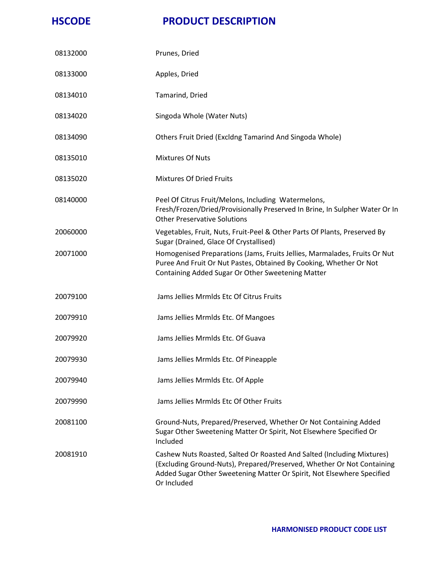| 08132000 | Prunes, Dried                                                                                                                                                                                                                             |
|----------|-------------------------------------------------------------------------------------------------------------------------------------------------------------------------------------------------------------------------------------------|
| 08133000 | Apples, Dried                                                                                                                                                                                                                             |
| 08134010 | Tamarind, Dried                                                                                                                                                                                                                           |
| 08134020 | Singoda Whole (Water Nuts)                                                                                                                                                                                                                |
| 08134090 | Others Fruit Dried (Excldng Tamarind And Singoda Whole)                                                                                                                                                                                   |
| 08135010 | <b>Mixtures Of Nuts</b>                                                                                                                                                                                                                   |
| 08135020 | <b>Mixtures Of Dried Fruits</b>                                                                                                                                                                                                           |
| 08140000 | Peel Of Citrus Fruit/Melons, Including Watermelons,<br>Fresh/Frozen/Dried/Provisionally Preserved In Brine, In Sulpher Water Or In<br><b>Other Preservative Solutions</b>                                                                 |
| 20060000 | Vegetables, Fruit, Nuts, Fruit-Peel & Other Parts Of Plants, Preserved By<br>Sugar (Drained, Glace Of Crystallised)                                                                                                                       |
| 20071000 | Homogenised Preparations (Jams, Fruits Jellies, Marmalades, Fruits Or Nut<br>Puree And Fruit Or Nut Pastes, Obtained By Cooking, Whether Or Not<br>Containing Added Sugar Or Other Sweetening Matter                                      |
| 20079100 | Jams Jellies Mrmlds Etc Of Citrus Fruits                                                                                                                                                                                                  |
| 20079910 | Jams Jellies Mrmlds Etc. Of Mangoes                                                                                                                                                                                                       |
| 20079920 | Jams Jellies Mrmlds Etc. Of Guava                                                                                                                                                                                                         |
| 20079930 | Jams Jellies Mrmlds Etc. Of Pineapple                                                                                                                                                                                                     |
| 20079940 | Jams Jellies Mrmlds Etc. Of Apple                                                                                                                                                                                                         |
| 20079990 | Jams Jellies Mrmlds Etc Of Other Fruits                                                                                                                                                                                                   |
| 20081100 | Ground-Nuts, Prepared/Preserved, Whether Or Not Containing Added<br>Sugar Other Sweetening Matter Or Spirit, Not Elsewhere Specified Or<br>Included                                                                                       |
| 20081910 | Cashew Nuts Roasted, Salted Or Roasted And Salted (Including Mixtures)<br>(Excluding Ground-Nuts), Prepared/Preserved, Whether Or Not Containing<br>Added Sugar Other Sweetening Matter Or Spirit, Not Elsewhere Specified<br>Or Included |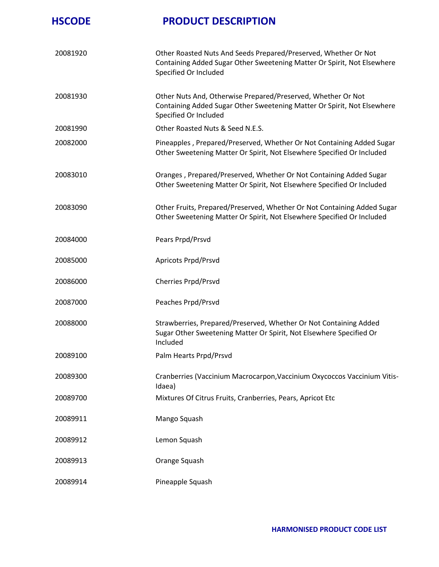| 20081920 | Other Roasted Nuts And Seeds Prepared/Preserved, Whether Or Not<br>Containing Added Sugar Other Sweetening Matter Or Spirit, Not Elsewhere<br>Specified Or Included |
|----------|---------------------------------------------------------------------------------------------------------------------------------------------------------------------|
| 20081930 | Other Nuts And, Otherwise Prepared/Preserved, Whether Or Not<br>Containing Added Sugar Other Sweetening Matter Or Spirit, Not Elsewhere<br>Specified Or Included    |
| 20081990 | Other Roasted Nuts & Seed N.E.S.                                                                                                                                    |
| 20082000 | Pineapples, Prepared/Preserved, Whether Or Not Containing Added Sugar<br>Other Sweetening Matter Or Spirit, Not Elsewhere Specified Or Included                     |
| 20083010 | Oranges, Prepared/Preserved, Whether Or Not Containing Added Sugar<br>Other Sweetening Matter Or Spirit, Not Elsewhere Specified Or Included                        |
| 20083090 | Other Fruits, Prepared/Preserved, Whether Or Not Containing Added Sugar<br>Other Sweetening Matter Or Spirit, Not Elsewhere Specified Or Included                   |
| 20084000 | Pears Prpd/Prsvd                                                                                                                                                    |
| 20085000 | Apricots Prpd/Prsvd                                                                                                                                                 |
| 20086000 | Cherries Prpd/Prsvd                                                                                                                                                 |
| 20087000 | Peaches Prpd/Prsvd                                                                                                                                                  |
| 20088000 | Strawberries, Prepared/Preserved, Whether Or Not Containing Added<br>Sugar Other Sweetening Matter Or Spirit, Not Elsewhere Specified Or<br>Included                |
| 20089100 | Palm Hearts Prpd/Prsvd                                                                                                                                              |
| 20089300 | Cranberries (Vaccinium Macrocarpon, Vaccinium Oxycoccos Vaccinium Vitis-<br>Idaea)                                                                                  |
| 20089700 | Mixtures Of Citrus Fruits, Cranberries, Pears, Apricot Etc                                                                                                          |
| 20089911 | Mango Squash                                                                                                                                                        |
| 20089912 | Lemon Squash                                                                                                                                                        |
| 20089913 | Orange Squash                                                                                                                                                       |
| 20089914 | Pineapple Squash                                                                                                                                                    |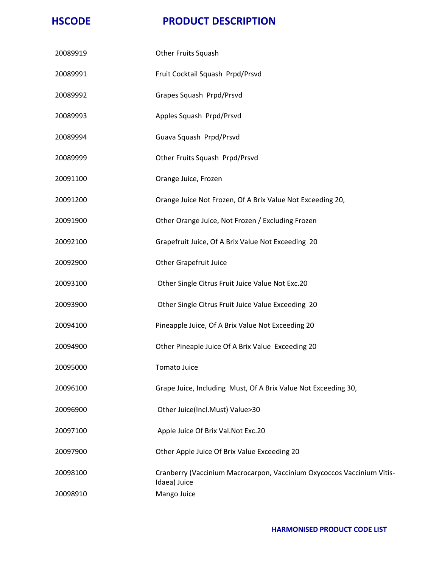| 20089919 | Other Fruits Squash                                                                    |
|----------|----------------------------------------------------------------------------------------|
| 20089991 | Fruit Cocktail Squash Prpd/Prsvd                                                       |
| 20089992 | Grapes Squash Prpd/Prsvd                                                               |
| 20089993 | Apples Squash Prpd/Prsvd                                                               |
| 20089994 | Guava Squash Prpd/Prsvd                                                                |
| 20089999 | Other Fruits Squash Prpd/Prsvd                                                         |
| 20091100 | Orange Juice, Frozen                                                                   |
| 20091200 | Orange Juice Not Frozen, Of A Brix Value Not Exceeding 20,                             |
| 20091900 | Other Orange Juice, Not Frozen / Excluding Frozen                                      |
| 20092100 | Grapefruit Juice, Of A Brix Value Not Exceeding 20                                     |
| 20092900 | <b>Other Grapefruit Juice</b>                                                          |
| 20093100 | Other Single Citrus Fruit Juice Value Not Exc.20                                       |
| 20093900 | Other Single Citrus Fruit Juice Value Exceeding 20                                     |
| 20094100 | Pineapple Juice, Of A Brix Value Not Exceeding 20                                      |
| 20094900 | Other Pineaple Juice Of A Brix Value Exceeding 20                                      |
| 20095000 | Tomato Juice                                                                           |
| 20096100 | Grape Juice, Including Must, Of A Brix Value Not Exceeding 30,                         |
| 20096900 | Other Juice(Incl.Must) Value>30                                                        |
| 20097100 | Apple Juice Of Brix Val.Not Exc.20                                                     |
| 20097900 | Other Apple Juice Of Brix Value Exceeding 20                                           |
| 20098100 | Cranberry (Vaccinium Macrocarpon, Vaccinium Oxycoccos Vaccinium Vitis-<br>Idaea) Juice |
| 20098910 | Mango Juice                                                                            |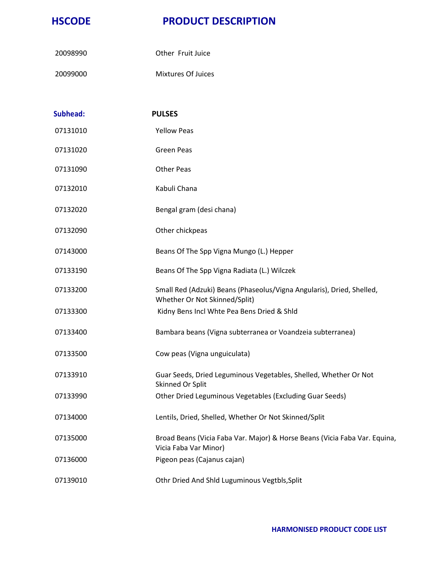- Other Fruit Juice
- Mixtures Of Juices

| <b>Subhead:</b> | <b>PULSES</b>                                                                                          |
|-----------------|--------------------------------------------------------------------------------------------------------|
| 07131010        | <b>Yellow Peas</b>                                                                                     |
| 07131020        | <b>Green Peas</b>                                                                                      |
| 07131090        | <b>Other Peas</b>                                                                                      |
| 07132010        | Kabuli Chana                                                                                           |
| 07132020        | Bengal gram (desi chana)                                                                               |
| 07132090        | Other chickpeas                                                                                        |
| 07143000        | Beans Of The Spp Vigna Mungo (L.) Hepper                                                               |
| 07133190        | Beans Of The Spp Vigna Radiata (L.) Wilczek                                                            |
| 07133200        | Small Red (Adzuki) Beans (Phaseolus/Vigna Angularis), Dried, Shelled,<br>Whether Or Not Skinned/Split) |
| 07133300        | Kidny Bens Incl Whte Pea Bens Dried & Shld                                                             |
| 07133400        | Bambara beans (Vigna subterranea or Voandzeia subterranea)                                             |
| 07133500        | Cow peas (Vigna unguiculata)                                                                           |
| 07133910        | Guar Seeds, Dried Leguminous Vegetables, Shelled, Whether Or Not<br>Skinned Or Split                   |
| 07133990        | Other Dried Leguminous Vegetables (Excluding Guar Seeds)                                               |
| 07134000        | Lentils, Dried, Shelled, Whether Or Not Skinned/Split                                                  |
| 07135000        | Broad Beans (Vicia Faba Var. Major) & Horse Beans (Vicia Faba Var. Equina,<br>Vicia Faba Var Minor)    |
| 07136000        | Pigeon peas (Cajanus cajan)                                                                            |
| 07139010        | Othr Dried And Shld Luguminous Vegtbls, Split                                                          |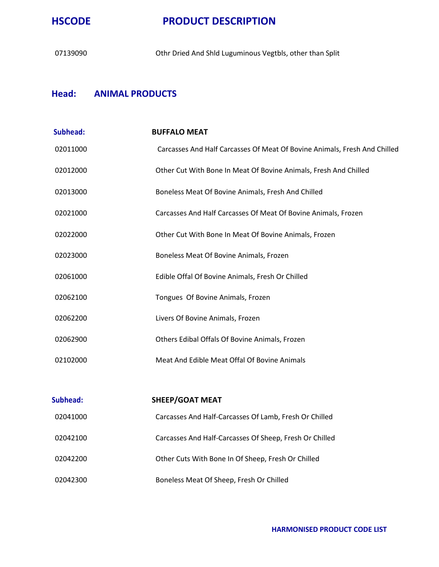

Othr Dried And Shld Luguminous Vegtbls, other than Split

#### **Head: ANIMAL PRODUCTS**

| Subhead:        | <b>BUFFALO MEAT</b>                                                       |
|-----------------|---------------------------------------------------------------------------|
| 02011000        | Carcasses And Half Carcasses Of Meat Of Bovine Animals, Fresh And Chilled |
| 02012000        | Other Cut With Bone In Meat Of Bovine Animals, Fresh And Chilled          |
| 02013000        | Boneless Meat Of Bovine Animals, Fresh And Chilled                        |
| 02021000        | Carcasses And Half Carcasses Of Meat Of Bovine Animals, Frozen            |
| 02022000        | Other Cut With Bone In Meat Of Bovine Animals, Frozen                     |
| 02023000        | Boneless Meat Of Bovine Animals, Frozen                                   |
| 02061000        | Edible Offal Of Bovine Animals, Fresh Or Chilled                          |
| 02062100        | Tongues Of Bovine Animals, Frozen                                         |
| 02062200        | Livers Of Bovine Animals, Frozen                                          |
| 02062900        | Others Edibal Offals Of Bovine Animals, Frozen                            |
| 02102000        | Meat And Edible Meat Offal Of Bovine Animals                              |
|                 |                                                                           |
| <b>Subhead:</b> | <b>SHEEP/GOAT MEAT</b>                                                    |
| 02041000        | Carcasses And Half-Carcasses Of Lamb, Fresh Or Chilled                    |
| 02042100        | Carcasses And Half-Carcasses Of Sheep, Fresh Or Chilled                   |
| 02042200        | Other Cuts With Bone In Of Sheep, Fresh Or Chilled                        |
| 02042300        | Boneless Meat Of Sheep, Fresh Or Chilled                                  |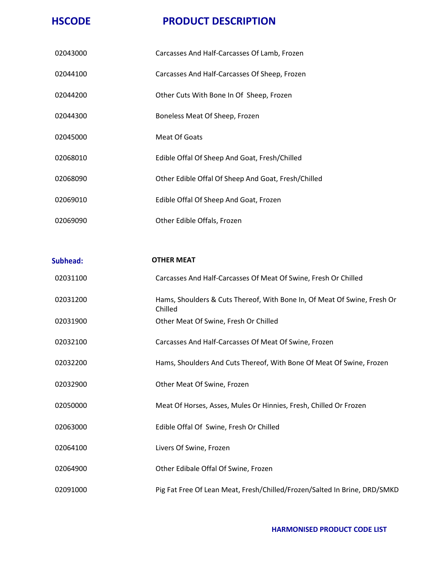| 02043000 | Carcasses And Half-Carcasses Of Lamb, Frozen        |
|----------|-----------------------------------------------------|
| 02044100 | Carcasses And Half-Carcasses Of Sheep, Frozen       |
| 02044200 | Other Cuts With Bone In Of Sheep, Frozen            |
| 02044300 | Boneless Meat Of Sheep, Frozen                      |
| 02045000 | Meat Of Goats                                       |
| 02068010 | Edible Offal Of Sheep And Goat, Fresh/Chilled       |
| 02068090 | Other Edible Offal Of Sheep And Goat, Fresh/Chilled |
| 02069010 | Edible Offal Of Sheep And Goat, Frozen              |
| 02069090 | Other Edible Offals, Frozen                         |

| <b>Subhead:</b> | <b>OTHER MEAT</b>                                                                   |
|-----------------|-------------------------------------------------------------------------------------|
| 02031100        | Carcasses And Half-Carcasses Of Meat Of Swine, Fresh Or Chilled                     |
| 02031200        | Hams, Shoulders & Cuts Thereof, With Bone In, Of Meat Of Swine, Fresh Or<br>Chilled |
| 02031900        | Other Meat Of Swine, Fresh Or Chilled                                               |
| 02032100        | Carcasses And Half-Carcasses Of Meat Of Swine, Frozen                               |
| 02032200        | Hams, Shoulders And Cuts Thereof, With Bone Of Meat Of Swine, Frozen                |
| 02032900        | Other Meat Of Swine, Frozen                                                         |
| 02050000        | Meat Of Horses, Asses, Mules Or Hinnies, Fresh, Chilled Or Frozen                   |
| 02063000        | Edible Offal Of Swine, Fresh Or Chilled                                             |
| 02064100        | Livers Of Swine, Frozen                                                             |
| 02064900        | Other Edibale Offal Of Swine, Frozen                                                |
| 02091000        | Pig Fat Free Of Lean Meat, Fresh/Chilled/Frozen/Salted In Brine, DRD/SMKD           |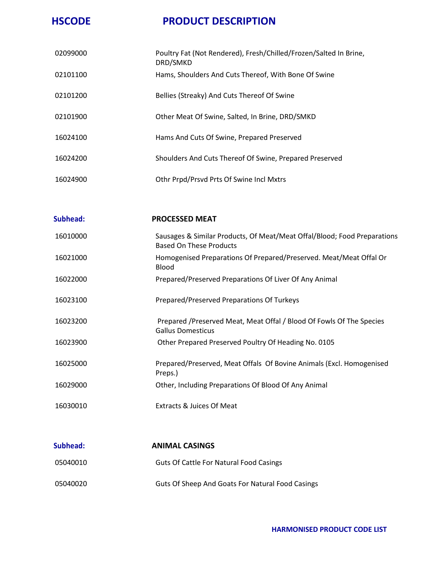| 02099000 | Poultry Fat (Not Rendered), Fresh/Chilled/Frozen/Salted In Brine,<br>DRD/SMKD |
|----------|-------------------------------------------------------------------------------|
| 02101100 | Hams, Shoulders And Cuts Thereof, With Bone Of Swine                          |
| 02101200 | Bellies (Streaky) And Cuts Thereof Of Swine                                   |
| 02101900 | Other Meat Of Swine, Salted, In Brine, DRD/SMKD                               |
| 16024100 | Hams And Cuts Of Swine, Prepared Preserved                                    |
| 16024200 | Shoulders And Cuts Thereof Of Swine, Prepared Preserved                       |
| 16024900 | Othr Prpd/Prsvd Prts Of Swine Incl Mxtrs                                      |

| Subhead: | <b>PROCESSED MEAT</b>                                                                               |
|----------|-----------------------------------------------------------------------------------------------------|
| 16010000 | Sausages & Similar Products, Of Meat/Meat Offal/Blood; Food Preparations<br>Based On These Products |
| 16021000 | Homogenised Preparations Of Prepared/Preserved. Meat/Meat Offal Or<br><b>Blood</b>                  |
| 16022000 | Prepared/Preserved Preparations Of Liver Of Any Animal                                              |
| 16023100 | Prepared/Preserved Preparations Of Turkeys                                                          |
| 16023200 | Prepared /Preserved Meat, Meat Offal / Blood Of Fowls Of The Species<br><b>Gallus Domesticus</b>    |
| 16023900 | Other Prepared Preserved Poultry Of Heading No. 0105                                                |
| 16025000 | Prepared/Preserved, Meat Offals Of Bovine Animals (Excl. Homogenised<br>Preps.)                     |
| 16029000 | Other, Including Preparations Of Blood Of Any Animal                                                |
| 16030010 | <b>Extracts &amp; Juices Of Meat</b>                                                                |

| Subhead: | <b>ANIMAL CASINGS</b>                                   |
|----------|---------------------------------------------------------|
| 05040010 | Guts Of Cattle For Natural Food Casings                 |
| 05040020 | <b>Guts Of Sheep And Goats For Natural Food Casings</b> |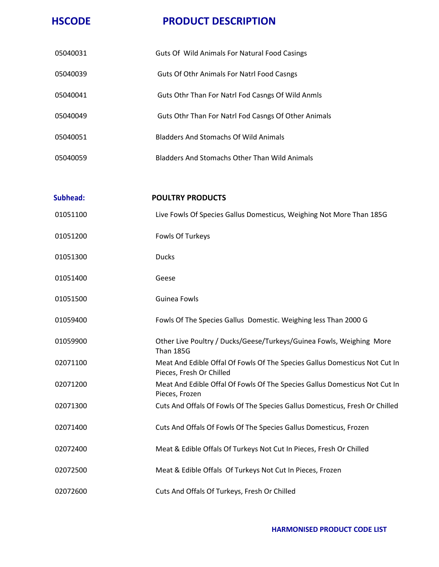| 05040031        | Guts Of Wild Animals For Natural Food Casings                                                          |
|-----------------|--------------------------------------------------------------------------------------------------------|
| 05040039        | Guts Of Othr Animals For Natrl Food Casngs                                                             |
| 05040041        | Guts Othr Than For Natrl Fod Casngs Of Wild Anmls                                                      |
| 05040049        | Guts Othr Than For Natrl Fod Casngs Of Other Animals                                                   |
| 05040051        | <b>Bladders And Stomachs Of Wild Animals</b>                                                           |
| 05040059        | <b>Bladders And Stomachs Other Than Wild Animals</b>                                                   |
| <b>Subhead:</b> | <b>POULTRY PRODUCTS</b>                                                                                |
| 01051100        | Live Fowls Of Species Gallus Domesticus, Weighing Not More Than 185G                                   |
| 01051200        | Fowls Of Turkeys                                                                                       |
| 01051300        | <b>Ducks</b>                                                                                           |
| 01051400        | Geese                                                                                                  |
| 01051500        | <b>Guinea Fowls</b>                                                                                    |
| 01059400        | Fowls Of The Species Gallus Domestic. Weighing less Than 2000 G                                        |
| 01059900        | Other Live Poultry / Ducks/Geese/Turkeys/Guinea Fowls, Weighing More<br><b>Than 185G</b>               |
| 02071100        | Meat And Edible Offal Of Fowls Of The Species Gallus Domesticus Not Cut In<br>Pieces, Fresh Or Chilled |
| 02071200        | Meat And Edible Offal Of Fowls Of The Species Gallus Domesticus Not Cut In<br>Pieces, Frozen           |
| 02071300        | Cuts And Offals Of Fowls Of The Species Gallus Domesticus, Fresh Or Chilled                            |
| 02071400        | Cuts And Offals Of Fowls Of The Species Gallus Domesticus, Frozen                                      |
| 02072400        | Meat & Edible Offals Of Turkeys Not Cut In Pieces, Fresh Or Chilled                                    |
| 02072500        | Meat & Edible Offals Of Turkeys Not Cut In Pieces, Frozen                                              |
| 02072600        | Cuts And Offals Of Turkeys, Fresh Or Chilled                                                           |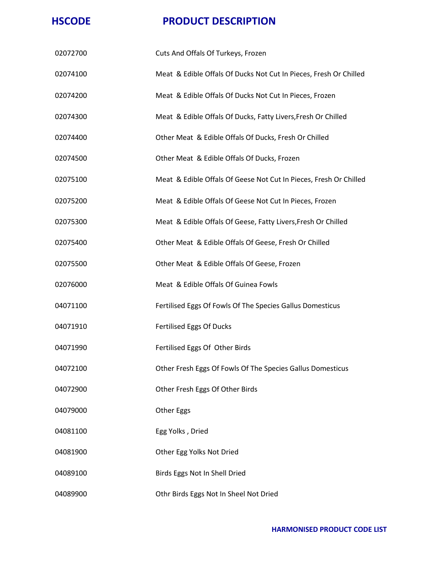| 02072700 | Cuts And Offals Of Turkeys, Frozen                                |
|----------|-------------------------------------------------------------------|
| 02074100 | Meat & Edible Offals Of Ducks Not Cut In Pieces, Fresh Or Chilled |
| 02074200 | Meat & Edible Offals Of Ducks Not Cut In Pieces, Frozen           |
| 02074300 | Meat & Edible Offals Of Ducks, Fatty Livers, Fresh Or Chilled     |
| 02074400 | Other Meat & Edible Offals Of Ducks, Fresh Or Chilled             |
| 02074500 | Other Meat & Edible Offals Of Ducks, Frozen                       |
| 02075100 | Meat & Edible Offals Of Geese Not Cut In Pieces, Fresh Or Chilled |
| 02075200 | Meat & Edible Offals Of Geese Not Cut In Pieces, Frozen           |
| 02075300 | Meat & Edible Offals Of Geese, Fatty Livers, Fresh Or Chilled     |
| 02075400 | Other Meat & Edible Offals Of Geese, Fresh Or Chilled             |
| 02075500 | Other Meat & Edible Offals Of Geese, Frozen                       |
| 02076000 | Meat & Edible Offals Of Guinea Fowls                              |
| 04071100 | Fertilised Eggs Of Fowls Of The Species Gallus Domesticus         |
| 04071910 | Fertilised Eggs Of Ducks                                          |
| 04071990 | Fertilised Eggs Of Other Birds                                    |
| 04072100 | Other Fresh Eggs Of Fowls Of The Species Gallus Domesticus        |
| 04072900 | Other Fresh Eggs Of Other Birds                                   |
| 04079000 | Other Eggs                                                        |
| 04081100 | Egg Yolks, Dried                                                  |
| 04081900 | Other Egg Yolks Not Dried                                         |
| 04089100 | Birds Eggs Not In Shell Dried                                     |
| 04089900 | Othr Birds Eggs Not In Sheel Not Dried                            |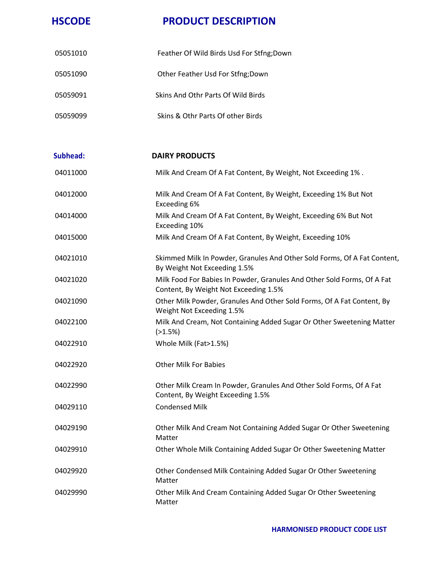| 05051010 | Feather Of Wild Birds Usd For Stfng;Down |
|----------|------------------------------------------|
| 05051090 | Other Feather Usd For Stfng; Down        |
| 05059091 | Skins And Othr Parts Of Wild Birds       |
| 05059099 | Skins & Othr Parts Of other Birds        |

| Subhead: | <b>DAIRY PRODUCTS</b>                                                                                            |
|----------|------------------------------------------------------------------------------------------------------------------|
| 04011000 | Milk And Cream Of A Fat Content, By Weight, Not Exceeding 1%.                                                    |
| 04012000 | Milk And Cream Of A Fat Content, By Weight, Exceeding 1% But Not<br>Exceeding 6%                                 |
| 04014000 | Milk And Cream Of A Fat Content, By Weight, Exceeding 6% But Not<br>Exceeding 10%                                |
| 04015000 | Milk And Cream Of A Fat Content, By Weight, Exceeding 10%                                                        |
| 04021010 | Skimmed Milk In Powder, Granules And Other Sold Forms, Of A Fat Content,<br>By Weight Not Exceeding 1.5%         |
| 04021020 | Milk Food For Babies In Powder, Granules And Other Sold Forms, Of A Fat<br>Content, By Weight Not Exceeding 1.5% |
| 04021090 | Other Milk Powder, Granules And Other Sold Forms, Of A Fat Content, By<br>Weight Not Exceeding 1.5%              |
| 04022100 | Milk And Cream, Not Containing Added Sugar Or Other Sweetening Matter<br>(>1.5%)                                 |
| 04022910 | Whole Milk (Fat>1.5%)                                                                                            |
| 04022920 | <b>Other Milk For Babies</b>                                                                                     |
| 04022990 | Other Milk Cream In Powder, Granules And Other Sold Forms, Of A Fat<br>Content, By Weight Exceeding 1.5%         |
| 04029110 | <b>Condensed Milk</b>                                                                                            |
| 04029190 | Other Milk And Cream Not Containing Added Sugar Or Other Sweetening<br>Matter                                    |
| 04029910 | Other Whole Milk Containing Added Sugar Or Other Sweetening Matter                                               |
| 04029920 | Other Condensed Milk Containing Added Sugar Or Other Sweetening<br>Matter                                        |
| 04029990 | Other Milk And Cream Containing Added Sugar Or Other Sweetening<br>Matter                                        |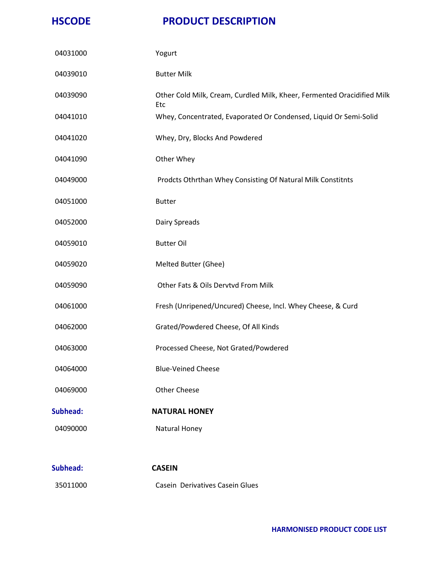| 04031000        | Yogurt                                                                                |
|-----------------|---------------------------------------------------------------------------------------|
| 04039010        | <b>Butter Milk</b>                                                                    |
| 04039090        | Other Cold Milk, Cream, Curdled Milk, Kheer, Fermented Oracidified Milk<br><b>Etc</b> |
| 04041010        | Whey, Concentrated, Evaporated Or Condensed, Liquid Or Semi-Solid                     |
| 04041020        | Whey, Dry, Blocks And Powdered                                                        |
| 04041090        | Other Whey                                                                            |
| 04049000        | Prodcts Othrthan Whey Consisting Of Natural Milk Constitnts                           |
| 04051000        | <b>Butter</b>                                                                         |
| 04052000        | Dairy Spreads                                                                         |
| 04059010        | <b>Butter Oil</b>                                                                     |
| 04059020        | Melted Butter (Ghee)                                                                  |
| 04059090        | Other Fats & Oils Dervtvd From Milk                                                   |
| 04061000        | Fresh (Unripened/Uncured) Cheese, Incl. Whey Cheese, & Curd                           |
| 04062000        | Grated/Powdered Cheese, Of All Kinds                                                  |
| 04063000        | Processed Cheese, Not Grated/Powdered                                                 |
| 04064000        | <b>Blue-Veined Cheese</b>                                                             |
| 04069000        | <b>Other Cheese</b>                                                                   |
| <b>Subhead:</b> | <b>NATURAL HONEY</b>                                                                  |
| 04090000        | Natural Honey                                                                         |
| <b>Subhead:</b> | <b>CASEIN</b>                                                                         |
| 35011000        | Casein Derivatives Casein Glues                                                       |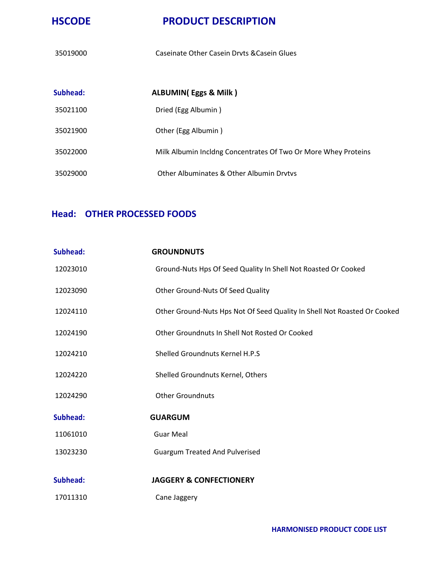Caseinate Other Casein Drvts &Casein Glues

| Subhead: | ALBUMIN(Eggs & Milk)                                           |
|----------|----------------------------------------------------------------|
| 35021100 | Dried (Egg Albumin)                                            |
| 35021900 | Other (Egg Albumin)                                            |
| 35022000 | Milk Albumin Incldng Concentrates Of Two Or More Whey Proteins |
| 35029000 | Other Albuminates & Other Albumin Drytys                       |

### **Head: OTHER PROCESSED FOODS**

| <b>Subhead:</b> | <b>GROUNDNUTS</b>                                                        |
|-----------------|--------------------------------------------------------------------------|
| 12023010        | Ground-Nuts Hps Of Seed Quality In Shell Not Roasted Or Cooked           |
| 12023090        | Other Ground-Nuts Of Seed Quality                                        |
| 12024110        | Other Ground-Nuts Hps Not Of Seed Quality In Shell Not Roasted Or Cooked |
| 12024190        | Other Groundnuts In Shell Not Rosted Or Cooked                           |
| 12024210        | Shelled Groundnuts Kernel H.P.S                                          |
| 12024220        | Shelled Groundnuts Kernel, Others                                        |
| 12024290        | <b>Other Groundnuts</b>                                                  |
| Subhead:        | <b>GUARGUM</b>                                                           |
| 11061010        | <b>Guar Meal</b>                                                         |
| 13023230        | <b>Guargum Treated And Pulverised</b>                                    |
| <b>Subhead:</b> | <b>JAGGERY &amp; CONFECTIONERY</b>                                       |
| 17011310        | Cane Jaggery                                                             |
|                 |                                                                          |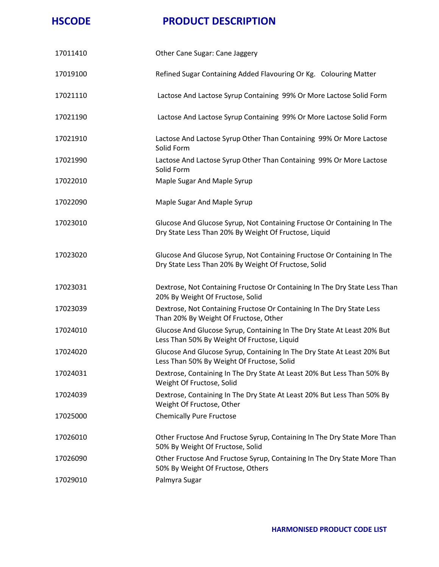| 17011410 | Other Cane Sugar: Cane Jaggery                                                                                                   |
|----------|----------------------------------------------------------------------------------------------------------------------------------|
| 17019100 | Refined Sugar Containing Added Flavouring Or Kg. Colouring Matter                                                                |
| 17021110 | Lactose And Lactose Syrup Containing 99% Or More Lactose Solid Form                                                              |
| 17021190 | Lactose And Lactose Syrup Containing 99% Or More Lactose Solid Form                                                              |
| 17021910 | Lactose And Lactose Syrup Other Than Containing 99% Or More Lactose<br>Solid Form                                                |
| 17021990 | Lactose And Lactose Syrup Other Than Containing 99% Or More Lactose<br>Solid Form                                                |
| 17022010 | Maple Sugar And Maple Syrup                                                                                                      |
| 17022090 | Maple Sugar And Maple Syrup                                                                                                      |
| 17023010 | Glucose And Glucose Syrup, Not Containing Fructose Or Containing In The<br>Dry State Less Than 20% By Weight Of Fructose, Liquid |
| 17023020 | Glucose And Glucose Syrup, Not Containing Fructose Or Containing In The<br>Dry State Less Than 20% By Weight Of Fructose, Solid  |
| 17023031 | Dextrose, Not Containing Fructose Or Containing In The Dry State Less Than<br>20% By Weight Of Fructose, Solid                   |
| 17023039 | Dextrose, Not Containing Fructose Or Containing In The Dry State Less<br>Than 20% By Weight Of Fructose, Other                   |
| 17024010 | Glucose And Glucose Syrup, Containing In The Dry State At Least 20% But<br>Less Than 50% By Weight Of Fructose, Liquid           |
| 17024020 | Glucose And Glucose Syrup, Containing In The Dry State At Least 20% But<br>Less Than 50% By Weight Of Fructose, Solid            |
| 17024031 | Dextrose, Containing In The Dry State At Least 20% But Less Than 50% By<br>Weight Of Fructose, Solid                             |
| 17024039 | Dextrose, Containing In The Dry State At Least 20% But Less Than 50% By<br>Weight Of Fructose, Other                             |
| 17025000 | <b>Chemically Pure Fructose</b>                                                                                                  |
| 17026010 | Other Fructose And Fructose Syrup, Containing In The Dry State More Than<br>50% By Weight Of Fructose, Solid                     |
| 17026090 | Other Fructose And Fructose Syrup, Containing In The Dry State More Than<br>50% By Weight Of Fructose, Others                    |
| 17029010 | Palmyra Sugar                                                                                                                    |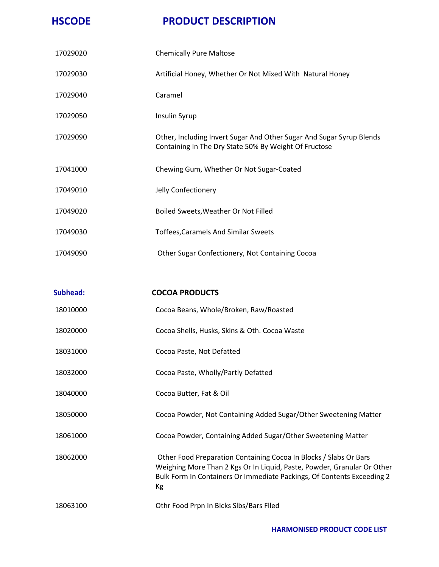| Culabanali | יראו והמחה גממרה                                                                                                              |
|------------|-------------------------------------------------------------------------------------------------------------------------------|
|            |                                                                                                                               |
| 17049090   | Other Sugar Confectionery, Not Containing Cocoa                                                                               |
| 17049030   | <b>Toffees, Caramels And Similar Sweets</b>                                                                                   |
| 17049020   | Boiled Sweets, Weather Or Not Filled                                                                                          |
| 17049010   | Jelly Confectionery                                                                                                           |
| 17041000   | Chewing Gum, Whether Or Not Sugar-Coated                                                                                      |
| 17029090   | Other, Including Invert Sugar And Other Sugar And Sugar Syrup Blends<br>Containing In The Dry State 50% By Weight Of Fructose |
| 17029050   | Insulin Syrup                                                                                                                 |
| 17029040   | Caramel                                                                                                                       |
| 17029030   | Artificial Honey, Whether Or Not Mixed With Natural Honey                                                                     |
| 17029020   | <b>Chemically Pure Maltose</b>                                                                                                |

| Subhead: | <b>COCOA PRODUCTS</b>                                                                                                                                                                                                        |
|----------|------------------------------------------------------------------------------------------------------------------------------------------------------------------------------------------------------------------------------|
| 18010000 | Cocoa Beans, Whole/Broken, Raw/Roasted                                                                                                                                                                                       |
| 18020000 | Cocoa Shells, Husks, Skins & Oth. Cocoa Waste                                                                                                                                                                                |
| 18031000 | Cocoa Paste, Not Defatted                                                                                                                                                                                                    |
| 18032000 | Cocoa Paste, Wholly/Partly Defatted                                                                                                                                                                                          |
| 18040000 | Cocoa Butter, Fat & Oil                                                                                                                                                                                                      |
| 18050000 | Cocoa Powder, Not Containing Added Sugar/Other Sweetening Matter                                                                                                                                                             |
| 18061000 | Cocoa Powder, Containing Added Sugar/Other Sweetening Matter                                                                                                                                                                 |
| 18062000 | Other Food Preparation Containing Cocoa In Blocks / Slabs Or Bars<br>Weighing More Than 2 Kgs Or In Liquid, Paste, Powder, Granular Or Other<br>Bulk Form In Containers Or Immediate Packings, Of Contents Exceeding 2<br>Кg |
| 18063100 | Othr Food Prpn In Blcks Slbs/Bars Flled                                                                                                                                                                                      |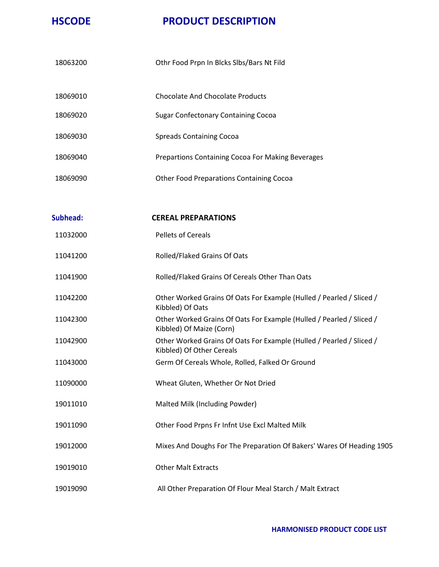| 18063200 | Othr Food Prpn In Blcks Slbs/Bars Nt Fild         |
|----------|---------------------------------------------------|
| 18069010 | Chocolate And Chocolate Products                  |
| 18069020 | <b>Sugar Confectonary Containing Cocoa</b>        |
| 18069030 | Spreads Containing Cocoa                          |
| 18069040 | Prepartions Containing Cocoa For Making Beverages |
| 18069090 | <b>Other Food Preparations Containing Cocoa</b>   |

| <b>Subhead:</b> | <b>CEREAL PREPARATIONS</b>                                                                        |
|-----------------|---------------------------------------------------------------------------------------------------|
| 11032000        | <b>Pellets of Cereals</b>                                                                         |
| 11041200        | Rolled/Flaked Grains Of Oats                                                                      |
| 11041900        | Rolled/Flaked Grains Of Cereals Other Than Oats                                                   |
| 11042200        | Other Worked Grains Of Oats For Example (Hulled / Pearled / Sliced /<br>Kibbled) Of Oats          |
| 11042300        | Other Worked Grains Of Oats For Example (Hulled / Pearled / Sliced /<br>Kibbled) Of Maize (Corn)  |
| 11042900        | Other Worked Grains Of Oats For Example (Hulled / Pearled / Sliced /<br>Kibbled) Of Other Cereals |
| 11043000        | Germ Of Cereals Whole, Rolled, Falked Or Ground                                                   |
| 11090000        | Wheat Gluten, Whether Or Not Dried                                                                |
| 19011010        | Malted Milk (Including Powder)                                                                    |
| 19011090        | Other Food Prpns Fr Infnt Use Excl Malted Milk                                                    |
| 19012000        | Mixes And Doughs For The Preparation Of Bakers' Wares Of Heading 1905                             |
| 19019010        | <b>Other Malt Extracts</b>                                                                        |
| 19019090        | All Other Preparation Of Flour Meal Starch / Malt Extract                                         |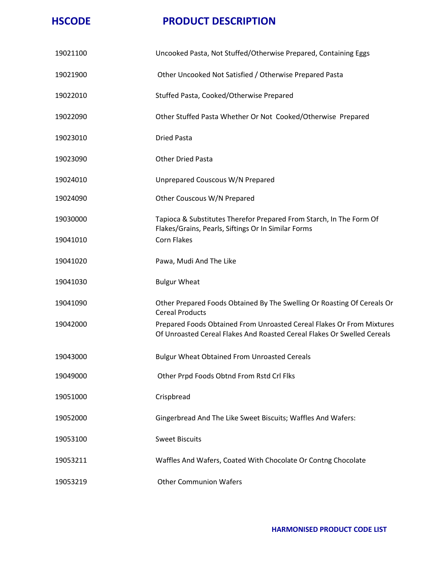| 19021100 | Uncooked Pasta, Not Stuffed/Otherwise Prepared, Containing Eggs                                                                                  |
|----------|--------------------------------------------------------------------------------------------------------------------------------------------------|
| 19021900 | Other Uncooked Not Satisfied / Otherwise Prepared Pasta                                                                                          |
| 19022010 | Stuffed Pasta, Cooked/Otherwise Prepared                                                                                                         |
| 19022090 | Other Stuffed Pasta Whether Or Not Cooked/Otherwise Prepared                                                                                     |
| 19023010 | <b>Dried Pasta</b>                                                                                                                               |
| 19023090 | <b>Other Dried Pasta</b>                                                                                                                         |
| 19024010 | Unprepared Couscous W/N Prepared                                                                                                                 |
| 19024090 | Other Couscous W/N Prepared                                                                                                                      |
| 19030000 | Tapioca & Substitutes Therefor Prepared From Starch, In The Form Of<br>Flakes/Grains, Pearls, Siftings Or In Similar Forms                       |
| 19041010 | <b>Corn Flakes</b>                                                                                                                               |
| 19041020 | Pawa, Mudi And The Like                                                                                                                          |
| 19041030 | <b>Bulgur Wheat</b>                                                                                                                              |
| 19041090 | Other Prepared Foods Obtained By The Swelling Or Roasting Of Cereals Or<br><b>Cereal Products</b>                                                |
| 19042000 | Prepared Foods Obtained From Unroasted Cereal Flakes Or From Mixtures<br>Of Unroasted Cereal Flakes And Roasted Cereal Flakes Or Swelled Cereals |
| 19043000 | <b>Bulgur Wheat Obtained From Unroasted Cereals</b>                                                                                              |
| 19049000 | Other Prpd Foods Obtnd From Rstd Crl Flks                                                                                                        |
| 19051000 | Crispbread                                                                                                                                       |
| 19052000 | Gingerbread And The Like Sweet Biscuits; Waffles And Wafers:                                                                                     |
| 19053100 | <b>Sweet Biscuits</b>                                                                                                                            |
| 19053211 | Waffles And Wafers, Coated With Chocolate Or Contng Chocolate                                                                                    |
| 19053219 | <b>Other Communion Wafers</b>                                                                                                                    |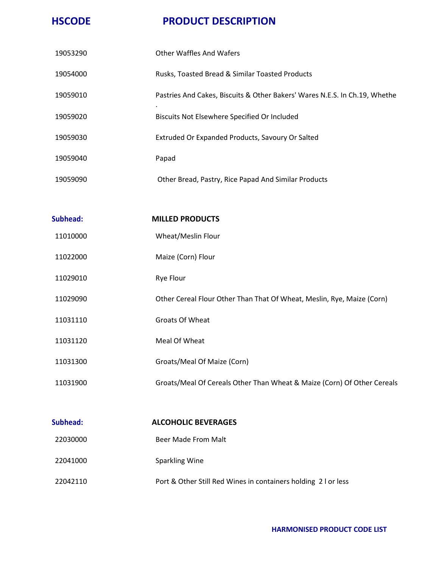| 19053290 | <b>Other Waffles And Wafers</b>                                                 |
|----------|---------------------------------------------------------------------------------|
| 19054000 | Rusks, Toasted Bread & Similar Toasted Products                                 |
| 19059010 | Pastries And Cakes, Biscuits & Other Bakers' Wares N.E.S. In Ch.19, Whethe<br>٠ |
| 19059020 | Biscuits Not Elsewhere Specified Or Included                                    |
| 19059030 | Extruded Or Expanded Products, Savoury Or Salted                                |
| 19059040 | Papad                                                                           |
| 19059090 | Other Bread, Pastry, Rice Papad And Similar Products                            |
|          |                                                                                 |

| Subhead: | <b>MILLED PRODUCTS</b>                                                  |
|----------|-------------------------------------------------------------------------|
| 11010000 | Wheat/Meslin Flour                                                      |
| 11022000 | Maize (Corn) Flour                                                      |
| 11029010 | Rye Flour                                                               |
| 11029090 | Other Cereal Flour Other Than That Of Wheat, Meslin, Rye, Maize (Corn)  |
| 11031110 | Groats Of Wheat                                                         |
| 11031120 | Meal Of Wheat                                                           |
| 11031300 | Groats/Meal Of Maize (Corn)                                             |
| 11031900 | Groats/Meal Of Cereals Other Than Wheat & Maize (Corn) Of Other Cereals |
|          |                                                                         |

| Subhead: | <b>ALCOHOLIC BEVERAGES</b>                                     |
|----------|----------------------------------------------------------------|
| 22030000 | Beer Made From Malt                                            |
| 22041000 | Sparkling Wine                                                 |
| 22042110 | Port & Other Still Red Wines in containers holding 2 I or less |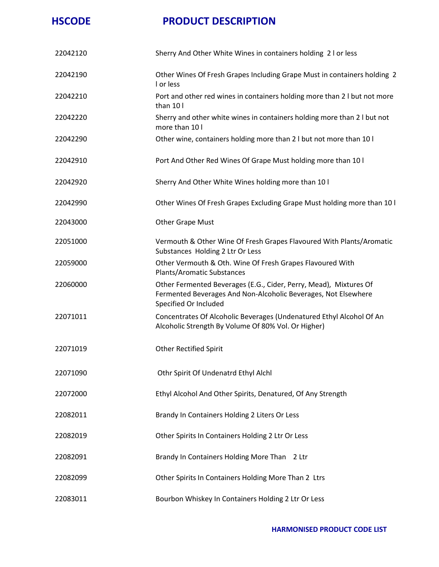| 22042120 | Sherry And Other White Wines in containers holding 2 I or less                                                                                               |
|----------|--------------------------------------------------------------------------------------------------------------------------------------------------------------|
| 22042190 | Other Wines Of Fresh Grapes Including Grape Must in containers holding 2<br>I or less                                                                        |
| 22042210 | Port and other red wines in containers holding more than 2 I but not more<br>than 10 l                                                                       |
| 22042220 | Sherry and other white wines in containers holding more than 2 I but not<br>more than 10 l                                                                   |
| 22042290 | Other wine, containers holding more than 2 I but not more than 10 I                                                                                          |
| 22042910 | Port And Other Red Wines Of Grape Must holding more than 10 I                                                                                                |
| 22042920 | Sherry And Other White Wines holding more than 10 I                                                                                                          |
| 22042990 | Other Wines Of Fresh Grapes Excluding Grape Must holding more than 10 I                                                                                      |
| 22043000 | <b>Other Grape Must</b>                                                                                                                                      |
| 22051000 | Vermouth & Other Wine Of Fresh Grapes Flavoured With Plants/Aromatic<br>Substances Holding 2 Ltr Or Less                                                     |
| 22059000 | Other Vermouth & Oth. Wine Of Fresh Grapes Flavoured With<br><b>Plants/Aromatic Substances</b>                                                               |
| 22060000 | Other Fermented Beverages (E.G., Cider, Perry, Mead), Mixtures Of<br>Fermented Beverages And Non-Alcoholic Beverages, Not Elsewhere<br>Specified Or Included |
| 22071011 | Concentrates Of Alcoholic Beverages (Undenatured Ethyl Alcohol Of An<br>Alcoholic Strength By Volume Of 80% Vol. Or Higher)                                  |
| 22071019 | <b>Other Rectified Spirit</b>                                                                                                                                |
| 22071090 | Othr Spirit Of Undenatrd Ethyl Alchl                                                                                                                         |
| 22072000 | Ethyl Alcohol And Other Spirits, Denatured, Of Any Strength                                                                                                  |
| 22082011 | Brandy In Containers Holding 2 Liters Or Less                                                                                                                |
| 22082019 | Other Spirits In Containers Holding 2 Ltr Or Less                                                                                                            |
| 22082091 | Brandy In Containers Holding More Than 2 Ltr                                                                                                                 |
| 22082099 | Other Spirits In Containers Holding More Than 2 Ltrs                                                                                                         |
| 22083011 | Bourbon Whiskey In Containers Holding 2 Ltr Or Less                                                                                                          |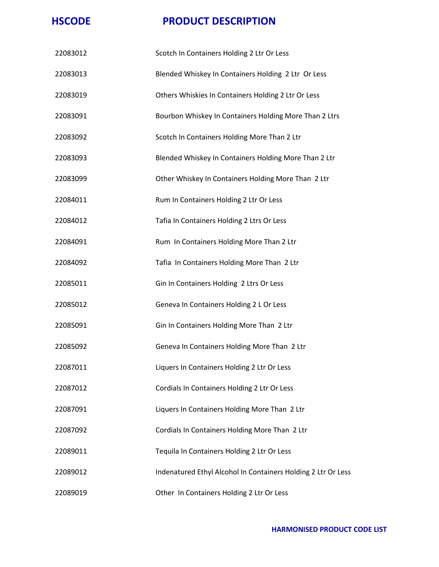| 22083012 | Scotch In Containers Holding 2 Ltr Or Less                    |
|----------|---------------------------------------------------------------|
| 22083013 | Blended Whiskey In Containers Holding 2 Ltr Or Less           |
| 22083019 | Others Whiskies In Containers Holding 2 Ltr Or Less           |
| 22083091 | Bourbon Whiskey In Containers Holding More Than 2 Ltrs        |
| 22083092 | Scotch In Containers Holding More Than 2 Ltr                  |
| 22083093 | Blended Whiskey In Containers Holding More Than 2 Ltr         |
| 22083099 | Other Whiskey In Containers Holding More Than 2 Ltr           |
| 22084011 | Rum In Containers Holding 2 Ltr Or Less                       |
| 22084012 | Tafia In Containers Holding 2 Ltrs Or Less                    |
| 22084091 | Rum In Containers Holding More Than 2 Ltr                     |
| 22084092 | Tafia In Containers Holding More Than 2 Ltr                   |
| 22085011 | Gin In Containers Holding 2 Ltrs Or Less                      |
| 22085012 | Geneva In Containers Holding 2 L Or Less                      |
| 22085091 | Gin In Containers Holding More Than 2 Ltr                     |
| 22085092 | Geneva In Containers Holding More Than 2 Ltr                  |
| 22087011 | Liquers In Containers Holding 2 Ltr Or Less                   |
| 22087012 | Cordials In Containers Holding 2 Ltr Or Less                  |
| 22087091 | Liquers In Containers Holding More Than 2 Ltr                 |
| 22087092 | Cordials In Containers Holding More Than 2 Ltr                |
| 22089011 | Tequila In Containers Holding 2 Ltr Or Less                   |
| 22089012 | Indenatured Ethyl Alcohol In Containers Holding 2 Ltr Or Less |
| 22089019 | Other In Containers Holding 2 Ltr Or Less                     |
|          |                                                               |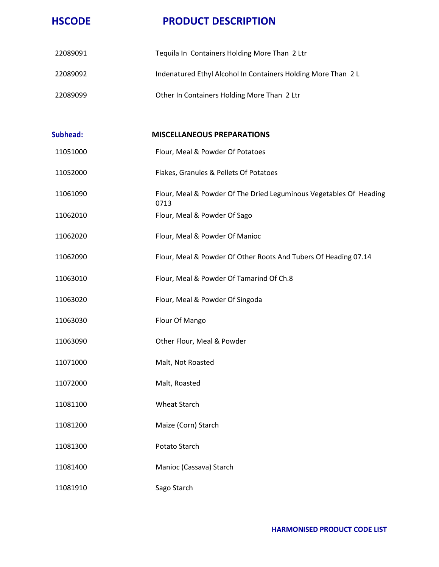| 22089091 | Tequila In Containers Holding More Than 2 Ltr                              |
|----------|----------------------------------------------------------------------------|
| 22089092 | Indenatured Ethyl Alcohol In Containers Holding More Than 2 L              |
| 22089099 | Other In Containers Holding More Than 2 Ltr                                |
|          |                                                                            |
| Subhead: | <b>MISCELLANEOUS PREPARATIONS</b>                                          |
| 11051000 | Flour, Meal & Powder Of Potatoes                                           |
| 11052000 | Flakes, Granules & Pellets Of Potatoes                                     |
| 11061090 | Flour, Meal & Powder Of The Dried Leguminous Vegetables Of Heading<br>0713 |
| 11062010 | Flour, Meal & Powder Of Sago                                               |
| 11062020 | Flour, Meal & Powder Of Manioc                                             |
| 11062090 | Flour, Meal & Powder Of Other Roots And Tubers Of Heading 07.14            |
| 11063010 | Flour, Meal & Powder Of Tamarind Of Ch.8                                   |
| 11063020 | Flour, Meal & Powder Of Singoda                                            |
| 11063030 | Flour Of Mango                                                             |
| 11063090 | Other Flour, Meal & Powder                                                 |
| 11071000 | Malt, Not Roasted                                                          |
| 11072000 | Malt, Roasted                                                              |
| 11081100 | <b>Wheat Starch</b>                                                        |
| 11081200 | Maize (Corn) Starch                                                        |
| 11081300 | Potato Starch                                                              |
| 11081400 | Manioc (Cassava) Starch                                                    |
| 11081910 | Sago Starch                                                                |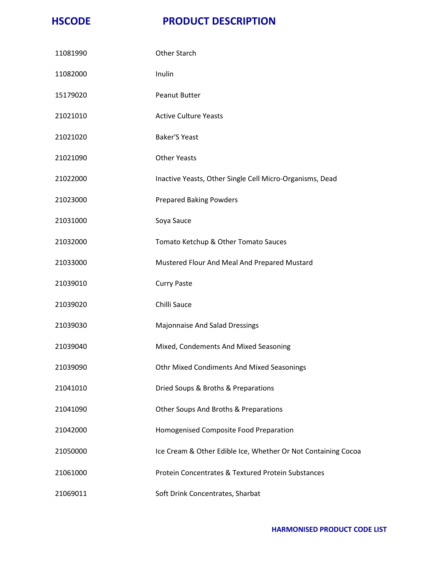| 11081990 | <b>Other Starch</b>                                           |
|----------|---------------------------------------------------------------|
| 11082000 | Inulin                                                        |
| 15179020 | Peanut Butter                                                 |
| 21021010 | <b>Active Culture Yeasts</b>                                  |
| 21021020 | <b>Baker'S Yeast</b>                                          |
| 21021090 | <b>Other Yeasts</b>                                           |
| 21022000 | Inactive Yeasts, Other Single Cell Micro-Organisms, Dead      |
| 21023000 | <b>Prepared Baking Powders</b>                                |
| 21031000 | Soya Sauce                                                    |
| 21032000 | Tomato Ketchup & Other Tomato Sauces                          |
| 21033000 | Mustered Flour And Meal And Prepared Mustard                  |
| 21039010 | <b>Curry Paste</b>                                            |
| 21039020 | Chilli Sauce                                                  |
| 21039030 | Majonnaise And Salad Dressings                                |
| 21039040 | Mixed, Condements And Mixed Seasoning                         |
| 21039090 | Othr Mixed Condiments And Mixed Seasonings                    |
| 21041010 | Dried Soups & Broths & Preparations                           |
| 21041090 | Other Soups And Broths & Preparations                         |
| 21042000 | Homogenised Composite Food Preparation                        |
| 21050000 | Ice Cream & Other Edible Ice, Whether Or Not Containing Cocoa |
| 21061000 | <b>Protein Concentrates &amp; Textured Protein Substances</b> |
| 21069011 | Soft Drink Concentrates, Sharbat                              |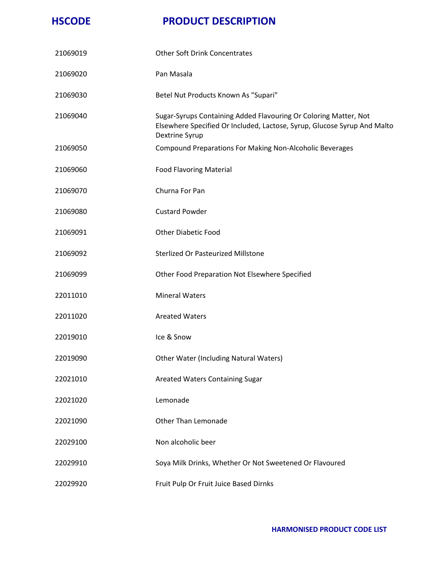| 21069019 | <b>Other Soft Drink Concentrates</b>                                                                                                                           |
|----------|----------------------------------------------------------------------------------------------------------------------------------------------------------------|
| 21069020 | Pan Masala                                                                                                                                                     |
| 21069030 | Betel Nut Products Known As "Supari"                                                                                                                           |
| 21069040 | Sugar-Syrups Containing Added Flavouring Or Coloring Matter, Not<br>Elsewhere Specified Or Included, Lactose, Syrup, Glucose Syrup And Malto<br>Dextrine Syrup |
| 21069050 | <b>Compound Preparations For Making Non-Alcoholic Beverages</b>                                                                                                |
| 21069060 | <b>Food Flavoring Material</b>                                                                                                                                 |
| 21069070 | Churna For Pan                                                                                                                                                 |
| 21069080 | <b>Custard Powder</b>                                                                                                                                          |
| 21069091 | <b>Other Diabetic Food</b>                                                                                                                                     |
| 21069092 | <b>Sterlized Or Pasteurized Millstone</b>                                                                                                                      |
| 21069099 | Other Food Preparation Not Elsewhere Specified                                                                                                                 |
| 22011010 | <b>Mineral Waters</b>                                                                                                                                          |
| 22011020 | <b>Areated Waters</b>                                                                                                                                          |
| 22019010 | Ice & Snow                                                                                                                                                     |
| 22019090 | Other Water (Including Natural Waters)                                                                                                                         |
| 22021010 | Areated Waters Containing Sugar                                                                                                                                |
| 22021020 | Lemonade                                                                                                                                                       |
| 22021090 | <b>Other Than Lemonade</b>                                                                                                                                     |
| 22029100 | Non alcoholic beer                                                                                                                                             |
| 22029910 | Soya Milk Drinks, Whether Or Not Sweetened Or Flavoured                                                                                                        |
| 22029920 | Fruit Pulp Or Fruit Juice Based Dirnks                                                                                                                         |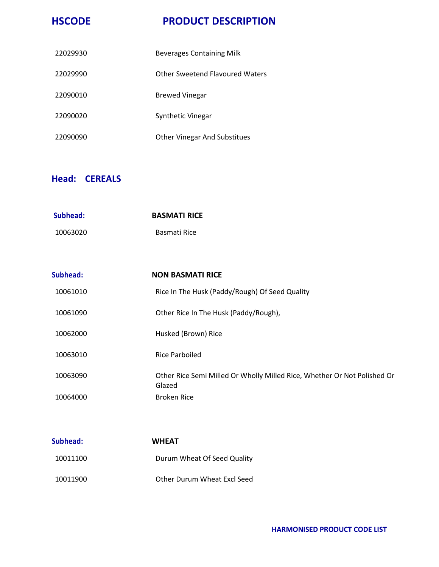| 22029930 | Beverages Containing Milk           |
|----------|-------------------------------------|
| 22029990 | Other Sweetend Flavoured Waters     |
| 22090010 | <b>Brewed Vinegar</b>               |
| 22090020 | Synthetic Vinegar                   |
| 22090090 | <b>Other Vinegar And Substitues</b> |

# **Head: CEREALS**

| Subhead: | <b>BASMATI RICE</b>                                                                |
|----------|------------------------------------------------------------------------------------|
| 10063020 | Basmati Rice                                                                       |
|          |                                                                                    |
| Subhead: | <b>NON BASMATI RICE</b>                                                            |
| 10061010 | Rice In The Husk (Paddy/Rough) Of Seed Quality                                     |
| 10061090 | Other Rice In The Husk (Paddy/Rough),                                              |
| 10062000 | Husked (Brown) Rice                                                                |
| 10063010 | <b>Rice Parboiled</b>                                                              |
| 10063090 | Other Rice Semi Milled Or Wholly Milled Rice, Whether Or Not Polished Or<br>Glazed |
| 10064000 | <b>Broken Rice</b>                                                                 |

| Subhead: | <b>WHEAT</b>                       |
|----------|------------------------------------|
| 10011100 | Durum Wheat Of Seed Quality        |
| 10011900 | <b>Other Durum Wheat Excl Seed</b> |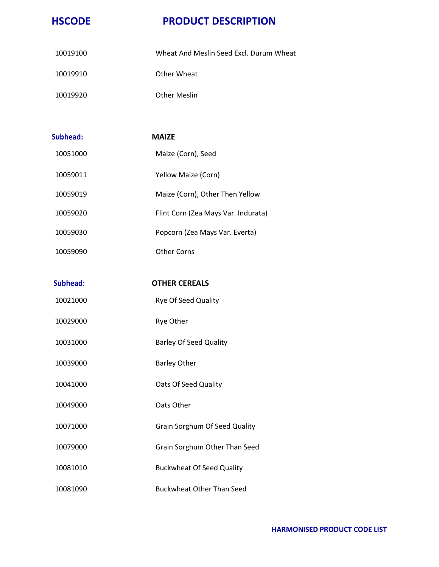| 10019100 | Wheat And Meslin Seed Excl. Durum Wheat |
|----------|-----------------------------------------|
| 10019910 | Other Wheat                             |
| 10019920 | <b>Other Meslin</b>                     |

| Subhead: | <b>MAIZE</b>                        |
|----------|-------------------------------------|
| 10051000 | Maize (Corn), Seed                  |
| 10059011 | Yellow Maize (Corn)                 |
| 10059019 | Maize (Corn), Other Then Yellow     |
| 10059020 | Flint Corn (Zea Mays Var. Indurata) |
| 10059030 | Popcorn (Zea Mays Var. Everta)      |
| 10059090 | <b>Other Corns</b>                  |
|          |                                     |
| Subhead: | <b>OTHER CEREALS</b>                |
| 10021000 | Rye Of Seed Quality                 |
| 10029000 | Rye Other                           |
| 10031000 | <b>Barley Of Seed Quality</b>       |
| 10039000 | <b>Barley Other</b>                 |
| 10041000 | Oats Of Seed Quality                |
| 10049000 | Oats Other                          |
| 10071000 | Grain Sorghum Of Seed Quality       |
| 10079000 | Grain Sorghum Other Than Seed       |
| 10081010 | <b>Buckwheat Of Seed Quality</b>    |
| 10081090 | <b>Buckwheat Other Than Seed</b>    |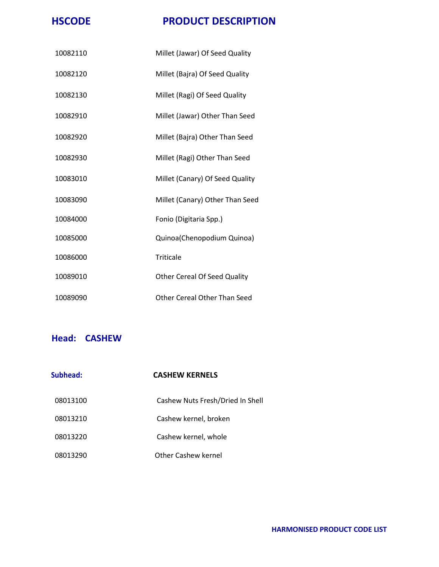| 10082110 | Millet (Jawar) Of Seed Quality      |
|----------|-------------------------------------|
| 10082120 | Millet (Bajra) Of Seed Quality      |
| 10082130 | Millet (Ragi) Of Seed Quality       |
| 10082910 | Millet (Jawar) Other Than Seed      |
| 10082920 | Millet (Bajra) Other Than Seed      |
| 10082930 | Millet (Ragi) Other Than Seed       |
| 10083010 | Millet (Canary) Of Seed Quality     |
| 10083090 | Millet (Canary) Other Than Seed     |
| 10084000 | Fonio (Digitaria Spp.)              |
| 10085000 | Quinoa(Chenopodium Quinoa)          |
| 10086000 | <b>Triticale</b>                    |
| 10089010 | <b>Other Cereal Of Seed Quality</b> |
| 10089090 | <b>Other Cereal Other Than Seed</b> |

#### **Head: CASHEW**

| Subhead: | <b>CASHEW KERNELS</b>            |
|----------|----------------------------------|
| 08013100 | Cashew Nuts Fresh/Dried In Shell |
| 08013210 | Cashew kernel, broken            |
| 08013220 | Cashew kernel, whole             |
| 08013290 | Other Cashew kernel              |